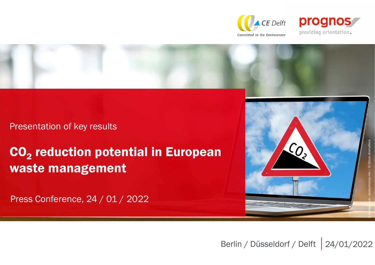



Presentation of key results

# CO<sub>2</sub> reduction potential in European waste management

Press Conference, 24 / 01 / 2022



Berlin / Düsseldorf / Delft | 24/01/2022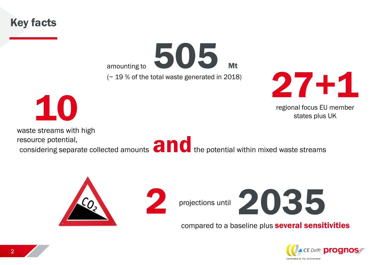Key facts

amounting to 505 Mt (~ 19 % of the total waste generated in 2018)



regional focus EU member states plus UK

10

waste streams with high

resource potential, resource potential,<br>considering separate collected amounts **and the potential within mixed waste streams** 



compared to a baseline plus several sensitivities

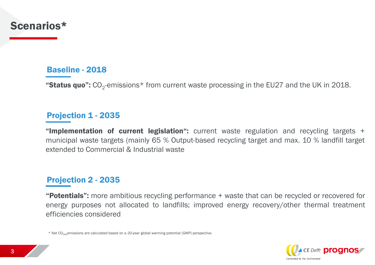### Scenarios\*

#### Baseline - 2018

"Status quo":  $\rm CO_2$ -emissions\* from current waste processing in the EU27 and the UK in 2018.

#### Projection 1 - 2035

"Implementation of current legislation": current waste regulation and recycling targets + municipal waste targets (mainly 65 % Output-based recycling target and max. 10 % landfill target extended to Commercial & Industrial waste

#### Projection 2 - 2035

**"Potentials":** more ambitious recycling performance + waste that can be recycled or recovered for energy purposes not allocated to landfills; improved energy recovery/other thermal treatment efficiencies considered

 $*$  Net CO<sub>2e0</sub> emissions are calculated based on a 20-year global warming potential (GWP) perspective.

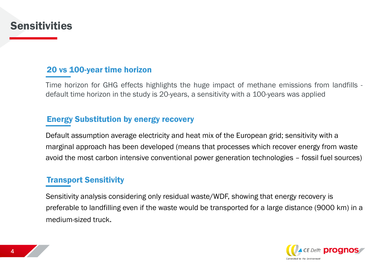### **Sensitivities**

#### 20 vs 100-year time horizon

Time horizon for GHG effects highlights the huge impact of methane emissions from landfills default time horizon in the study is 20-years, a sensitivity with a 100-years was applied

#### Energy Substitution by energy recovery

Default assumption average electricity and heat mix of the European grid; sensitivity with a marginal approach has been developed (means that processes which recover energy from waste avoid the most carbon intensive conventional power generation technologies – fossil fuel sources)

#### Transport Sensitivity

Sensitivity analysis considering only residual waste/WDF, showing that energy recovery is preferable to landfilling even if the waste would be transported for a large distance (9000 km) in a medium-sized truck.

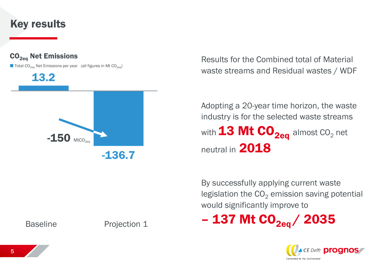### Key results



Results for the Combined total of Material waste streams and Residual wastes / WDF

Adopting a 20-year time horizon, the waste industry is for the selected waste streams with  $13$  Mt  $CO_{2ea}$  almost CO<sub>2</sub> net neutral in 2018

By successfully applying current waste legislation the  $CO<sub>2</sub>$  emission saving potential would significantly improve to

 $-137$  Mt CO<sub>2eg</sub> / 2035



Baseline Projection 1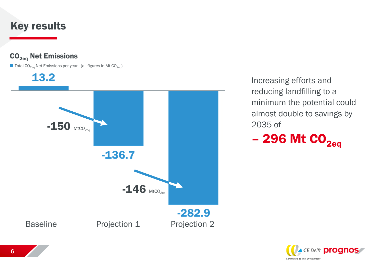### Key results



Increasing efforts and reducing landfilling to a minimum the potential could almost double to savings by 2035 of

 $-296$  Mt  $CO<sub>2eq</sub>$ </sub>

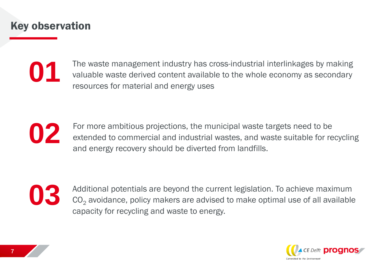### Key observation

**01**

The waste management industry has cross-industrial interlinkages by making valuable waste derived content available to the whole economy as secondary resources for material and energy uses



For more ambitious projections, the municipal waste targets need to be extended to commercial and industrial wastes, and waste suitable for recycling and energy recovery should be diverted from landfills.



Additional potentials are beyond the current legislation. To achieve maximum  $CO<sub>2</sub>$  avoidance, policy makers are advised to make optimal use of all available capacity for recycling and waste to energy.